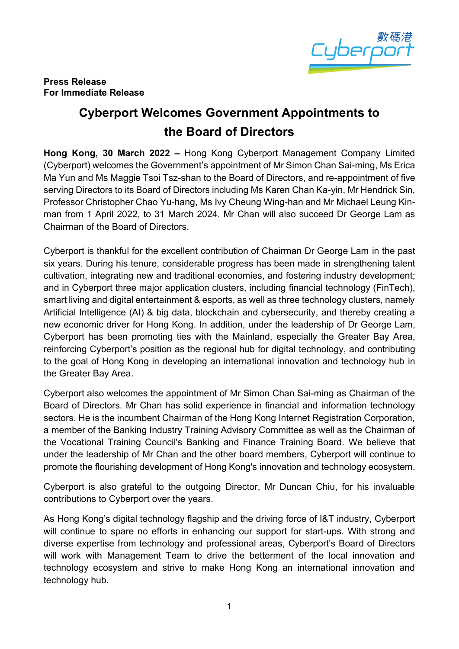

### **Press Release For Immediate Release**

# **Cyberport Welcomes Government Appointments to the Board of Directors**

**Hong Kong, 30 March 2022 –** Hong Kong Cyberport Management Company Limited (Cyberport) welcomes the Government's appointment of Mr Simon Chan Sai-ming, Ms Erica Ma Yun and Ms Maggie Tsoi Tsz-shan to the Board of Directors, and re-appointment of five serving Directors to its Board of Directors including Ms Karen Chan Ka-yin, Mr Hendrick Sin, Professor Christopher Chao Yu-hang, Ms Ivy Cheung Wing-han and Mr Michael Leung Kinman from 1 April 2022, to 31 March 2024. Mr Chan will also succeed Dr George Lam as Chairman of the Board of Directors.

Cyberport is thankful for the excellent contribution of Chairman Dr George Lam in the past six years. During his tenure, considerable progress has been made in strengthening talent cultivation, integrating new and traditional economies, and fostering industry development; and in Cyberport three major application clusters, including financial technology (FinTech), smart living and digital entertainment & esports, as well as three technology clusters, namely Artificial Intelligence (AI) & big data, blockchain and cybersecurity, and thereby creating a new economic driver for Hong Kong. In addition, under the leadership of Dr George Lam, Cyberport has been promoting ties with the Mainland, especially the Greater Bay Area, reinforcing Cyberport's position as the regional hub for digital technology, and contributing to the goal of Hong Kong in developing an international innovation and technology hub in the Greater Bay Area.

Cyberport also welcomes the appointment of Mr Simon Chan Sai-ming as Chairman of the Board of Directors. Mr Chan has solid experience in financial and information technology sectors. He is the incumbent Chairman of the Hong Kong Internet Registration Corporation, a member of the Banking Industry Training Advisory Committee as well as the Chairman of the Vocational Training Council's Banking and Finance Training Board. We believe that under the leadership of Mr Chan and the other board members, Cyberport will continue to promote the flourishing development of Hong Kong's innovation and technology ecosystem.

Cyberport is also grateful to the outgoing Director, Mr Duncan Chiu, for his invaluable contributions to Cyberport over the years.

As Hong Kong's digital technology flagship and the driving force of I&T industry, Cyberport will continue to spare no efforts in enhancing our support for start-ups. With strong and diverse expertise from technology and professional areas, Cyberport's Board of Directors will work with Management Team to drive the betterment of the local innovation and technology ecosystem and strive to make Hong Kong an international innovation and technology hub.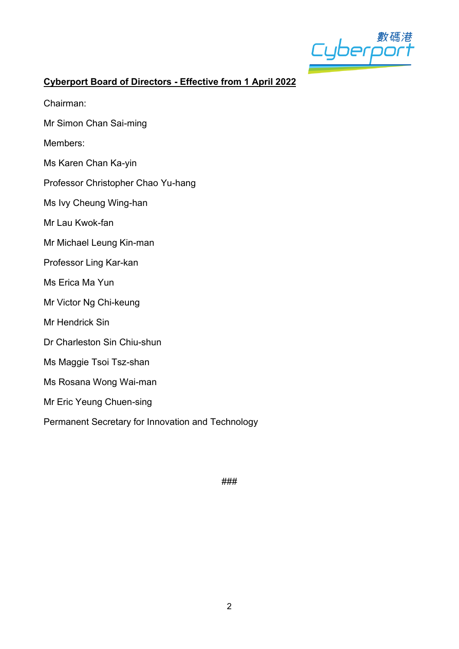

# **Cyberport Board of Directors - Effective from 1 April 2022**

- Chairman:
- Mr Simon Chan Sai-ming
- Members:
- Ms Karen Chan Ka-yin
- Professor Christopher Chao Yu-hang
- Ms Ivy Cheung Wing-han
- Mr Lau Kwok-fan
- Mr Michael Leung Kin-man
- Professor Ling Kar-kan
- Ms Erica Ma Yun
- Mr Victor Ng Chi-keung
- Mr Hendrick Sin
- Dr Charleston Sin Chiu-shun
- Ms Maggie Tsoi Tsz-shan
- Ms Rosana Wong Wai-man
- Mr Eric Yeung Chuen-sing
- Permanent Secretary for Innovation and Technology

###